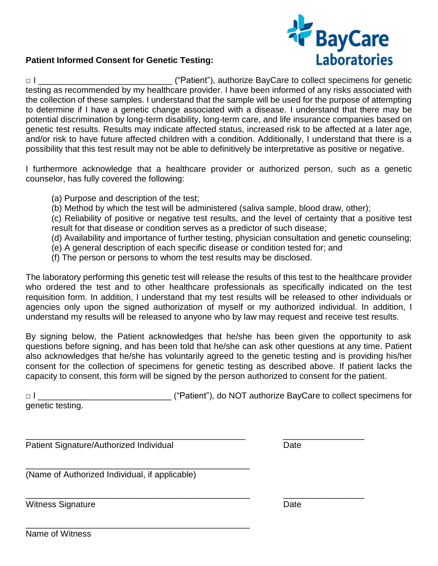

## **Patient Informed Consent for Genetic Testing:**

□ I \_\_\_\_\_\_\_\_\_\_\_\_\_\_\_\_\_\_\_\_\_\_\_\_\_\_\_\_ ("Patient"), authorize BayCare to collect specimens for genetic testing as recommended by my healthcare provider. I have been informed of any risks associated with the collection of these samples. I understand that the sample will be used for the purpose of attempting to determine if I have a genetic change associated with a disease. I understand that there may be potential discrimination by long-term disability, long-term care, and life insurance companies based on genetic test results. Results may indicate affected status, increased risk to be affected at a later age, and/or risk to have future affected children with a condition. Additionally, I understand that there is a possibility that this test result may not be able to definitively be interpretative as positive or negative.

I furthermore acknowledge that a healthcare provider or authorized person, such as a genetic counselor, has fully covered the following:

- (a) Purpose and description of the test;
- (b) Method by which the test will be administered (saliva sample, blood draw, other);

(c) Reliability of positive or negative test results, and the level of certainty that a positive test result for that disease or condition serves as a predictor of such disease;

- (d) Availability and importance of further testing, physician consultation and genetic counseling;
- (e) A general description of each specific disease or condition tested for; and
- (f) The person or persons to whom the test results may be disclosed.

The laboratory performing this genetic test will release the results of this test to the healthcare provider who ordered the test and to other healthcare professionals as specifically indicated on the test requisition form. In addition, I understand that my test results will be released to other individuals or agencies only upon the signed authorization of myself or my authorized individual. In addition, I understand my results will be released to anyone who by law may request and receive test results.

By signing below, the Patient acknowledges that he/she has been given the opportunity to ask questions before signing, and has been told that he/she can ask other questions at any time. Patient also acknowledges that he/she has voluntarily agreed to the genetic testing and is providing his/her consent for the collection of specimens for genetic testing as described above. If patient lacks the capacity to consent, this form will be signed by the person authorized to consent for the patient.

| $\Box$           | ("Patient"), do NOT authorize BayCare to collect specimens for |
|------------------|----------------------------------------------------------------|
| genetic testing. |                                                                |

\_\_\_\_\_\_\_\_\_\_\_\_\_\_\_\_\_\_\_\_\_\_\_\_\_\_\_\_\_\_\_\_\_\_\_\_\_\_\_\_\_\_\_\_\_\_\_ \_\_\_\_\_\_\_\_\_\_\_\_\_\_\_\_\_

\_\_\_\_\_\_\_\_\_\_\_\_\_\_\_\_\_\_\_\_\_\_\_\_\_\_\_\_\_\_\_\_\_\_\_\_\_\_\_\_\_\_\_\_\_\_ \_\_\_\_\_\_\_\_\_\_\_\_\_\_\_\_\_ Patient Signature/Authorized Individual Date

\_\_\_\_\_\_\_\_\_\_\_\_\_\_\_\_\_\_\_\_\_\_\_\_\_\_\_\_\_\_\_\_\_\_\_\_\_\_\_\_\_\_\_\_\_\_\_ (Name of Authorized Individual, if applicable)

\_\_\_\_\_\_\_\_\_\_\_\_\_\_\_\_\_\_\_\_\_\_\_\_\_\_\_\_\_\_\_\_\_\_\_\_\_\_\_\_\_\_\_\_\_\_\_

Witness Signature **Date** 

Name of Witness